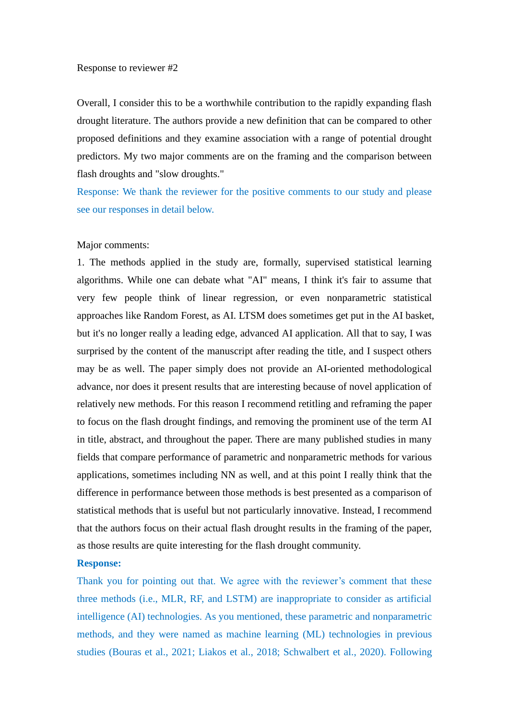## Response to reviewer #2

Overall, I consider this to be a worthwhile contribution to the rapidly expanding flash drought literature. The authors provide a new definition that can be compared to other proposed definitions and they examine association with a range of potential drought predictors. My two major comments are on the framing and the comparison between flash droughts and "slow droughts."

Response: We thank the reviewer for the positive comments to our study and please see our responses in detail below.

### Major comments:

1. The methods applied in the study are, formally, supervised statistical learning algorithms. While one can debate what "AI" means, I think it's fair to assume that very few people think of linear regression, or even nonparametric statistical approaches like Random Forest, as AI. LTSM does sometimes get put in the AI basket, but it's no longer really a leading edge, advanced AI application. All that to say, I was surprised by the content of the manuscript after reading the title, and I suspect others may be as well. The paper simply does not provide an AI-oriented methodological advance, nor does it present results that are interesting because of novel application of relatively new methods. For this reason I recommend retitling and reframing the paper to focus on the flash drought findings, and removing the prominent use of the term AI in title, abstract, and throughout the paper. There are many published studies in many fields that compare performance of parametric and nonparametric methods for various applications, sometimes including NN as well, and at this point I really think that the difference in performance between those methods is best presented as a comparison of statistical methods that is useful but not particularly innovative. Instead, I recommend that the authors focus on their actual flash drought results in the framing of the paper, as those results are quite interesting for the flash drought community.

## **Response:**

Thank you for pointing out that. We agree with the reviewer's comment that these three methods (i.e., MLR, RF, and LSTM) are inappropriate to consider as artificial intelligence (AI) technologies. As you mentioned, these parametric and nonparametric methods, and they were named as machine learning (ML) technologies in previous studies (Bouras et al., 2021; Liakos et al., 2018; Schwalbert et al., 2020). Following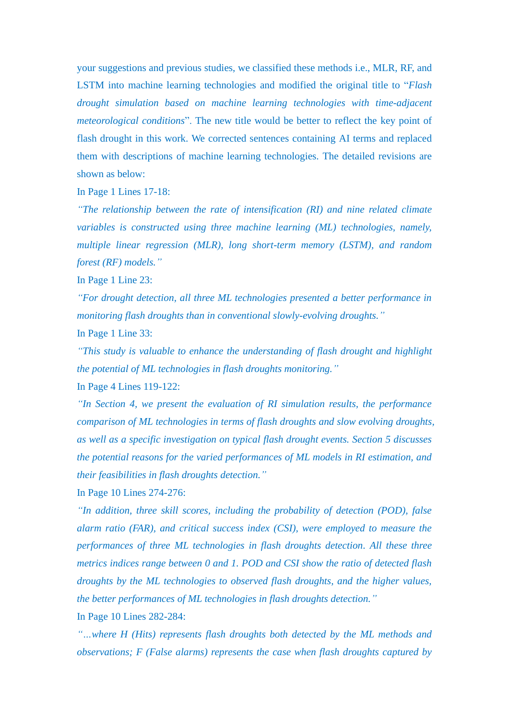your suggestions and previous studies, we classified these methods i.e., MLR, RF, and LSTM into machine learning technologies and modified the original title to "*Flash drought simulation based on machine learning technologies with time-adjacent meteorological conditions*". The new title would be better to reflect the key point of flash drought in this work. We corrected sentences containing AI terms and replaced them with descriptions of machine learning technologies. The detailed revisions are shown as below:

In Page 1 Lines 17-18:

*"The relationship between the rate of intensification (RI) and nine related climate variables is constructed using three machine learning (ML) technologies, namely, multiple linear regression (MLR), long short-term memory (LSTM), and random forest (RF) models."*

In Page 1 Line 23:

*"For drought detection, all three ML technologies presented a better performance in monitoring flash droughts than in conventional slowly-evolving droughts."*

In Page 1 Line 33:

*"This study is valuable to enhance the understanding of flash drought and highlight the potential of ML technologies in flash droughts monitoring."*

In Page 4 Lines 119-122:

*"In Section 4, we present the evaluation of RI simulation results, the performance comparison of ML technologies in terms of flash droughts and slow evolving droughts, as well as a specific investigation on typical flash drought events. Section 5 discusses the potential reasons for the varied performances of ML models in RI estimation, and their feasibilities in flash droughts detection."*

In Page 10 Lines 274-276:

*"In addition, three skill scores, including the probability of detection (POD), false alarm ratio (FAR), and critical success index (CSI), were employed to measure the performances of three ML technologies in flash droughts detection. All these three metrics indices range between 0 and 1. POD and CSI show the ratio of detected flash droughts by the ML technologies to observed flash droughts, and the higher values, the better performances of ML technologies in flash droughts detection."*

In Page 10 Lines 282-284:

*"…where H (Hits) represents flash droughts both detected by the ML methods and observations; F (False alarms) represents the case when flash droughts captured by*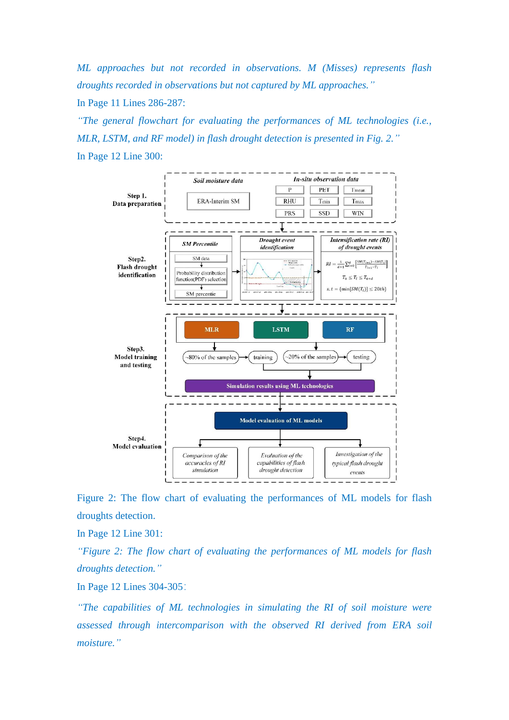*ML approaches but not recorded in observations. M (Misses) represents flash droughts recorded in observations but not captured by ML approaches."*

In Page 11 Lines 286-287:

*"The general flowchart for evaluating the performances of ML technologies (i.e., MLR, LSTM, and RF model) in flash drought detection is presented in Fig. 2."* In Page 12 Line 300:



Figure 2: The flow chart of evaluating the performances of ML models for flash droughts detection.

In Page 12 Line 301:

*"Figure 2: The flow chart of evaluating the performances of ML models for flash droughts detection."*

In Page 12 Lines 304-305:

*"The capabilities of ML technologies in simulating the RI of soil moisture were assessed through intercomparison with the observed RI derived from ERA soil moisture."*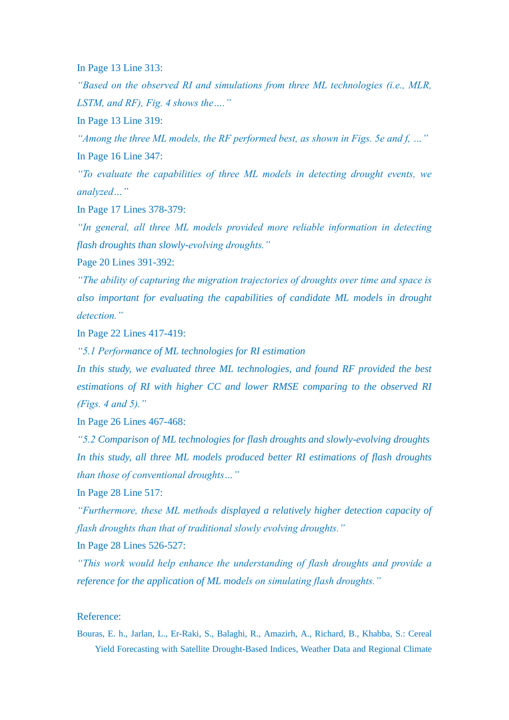In Page 13 Line 313:

*"Based on the observed RI and simulations from three ML technologies (i.e., MLR, LSTM, and RF), Fig. 4 shows the…."*

In Page 13 Line 319:

*"Among the three ML models, the RF performed best, as shown in Figs. 5e and f, …"* In Page 16 Line 347:

*"To evaluate the capabilities of three ML models in detecting drought events, we analyzed…"*

In Page 17 Lines 378-379:

*"In general, all three ML models provided more reliable information in detecting flash droughts than slowly-evolving droughts."*

Page 20 Lines 391-392:

*"The ability of capturing the migration trajectories of droughts over time and space is also important for evaluating the capabilities of candidate ML models in drought detection."*

In Page 22 Lines 417-419:

*"5.1 Performance of ML technologies for RI estimation*

*In this study, we evaluated three ML technologies, and found RF provided the best estimations of RI with higher CC and lower RMSE comparing to the observed RI (Figs. 4 and 5)."*

In Page 26 Lines 467-468:

*"5.2 Comparison of ML technologies for flash droughts and slowly-evolving droughts In this study, all three ML models produced better RI estimations of flash droughts than those of conventional droughts…"*

In Page 28 Line 517:

*"Furthermore, these ML methods displayed a relatively higher detection capacity of flash droughts than that of traditional slowly evolving droughts."*

In Page 28 Lines 526-527:

*"This work would help enhance the understanding of flash droughts and provide a reference for the application of ML models on simulating flash droughts."*

## Reference:

Bouras, E. h., Jarlan, L., Er-Raki, S., Balaghi, R., Amazirh, A., Richard, B., Khabba, S.: Cereal Yield Forecasting with Satellite Drought-Based Indices, Weather Data and Regional Climate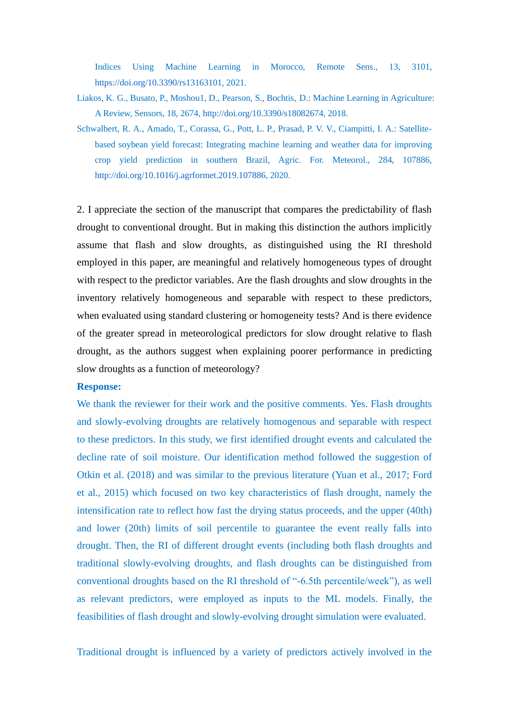Indices Using Machine Learning in Morocco, Remote Sens., 13, 3101, [https://doi.org/10.3390/rs13163101,](https://doi.org/10.3390/rs13163101) 2021.

- Liakos, K. G., Busato, P., Moshou1, D., Pearson, S., Bochtis, D.: Machine Learning in Agriculture: A Review, Sensors, 18, 2674, [http://doi.org/10.3390/s18082674,](http://doi.org/10.3390/s18082674) 2018.
- Schwalbert, R. A., Amado, T., Corassa, G., Pott, L. P., Prasad, P. V. V., Ciampitti, I. A.: Satellitebased soybean yield forecast: Integrating machine learning and weather data for improving crop yield prediction in southern Brazil, Agric. For. Meteorol., 284, 107886, [http://doi.org/10.1016/j.agrformet.2019.107886,](http://doi.org/10.1016/j.agrformet.2019.107886) 2020.

2. I appreciate the section of the manuscript that compares the predictability of flash drought to conventional drought. But in making this distinction the authors implicitly assume that flash and slow droughts, as distinguished using the RI threshold employed in this paper, are meaningful and relatively homogeneous types of drought with respect to the predictor variables. Are the flash droughts and slow droughts in the inventory relatively homogeneous and separable with respect to these predictors, when evaluated using standard clustering or homogeneity tests? And is there evidence of the greater spread in meteorological predictors for slow drought relative to flash drought, as the authors suggest when explaining poorer performance in predicting slow droughts as a function of meteorology?

### **Response:**

We thank the reviewer for their work and the positive comments. Yes. Flash droughts and slowly-evolving droughts are relatively homogenous and separable with respect to these predictors. In this study, we first identified drought events and calculated the decline rate of soil moisture. Our identification method followed the suggestion of Otkin et al. (2018) and was similar to the previous literature (Yuan et al., 2017; Ford et al., 2015) which focused on two key characteristics of flash drought, namely the intensification rate to reflect how fast the drying status proceeds, and the upper (40th) and lower (20th) limits of soil percentile to guarantee the event really falls into drought. Then, the RI of different drought events (including both flash droughts and traditional slowly-evolving droughts, and flash droughts can be distinguished from conventional droughts based on the RI threshold of "-6.5th percentile/week"), as well as relevant predictors, were employed as inputs to the ML models. Finally, the feasibilities of flash drought and slowly-evolving drought simulation were evaluated.

Traditional drought is influenced by a variety of predictors actively involved in the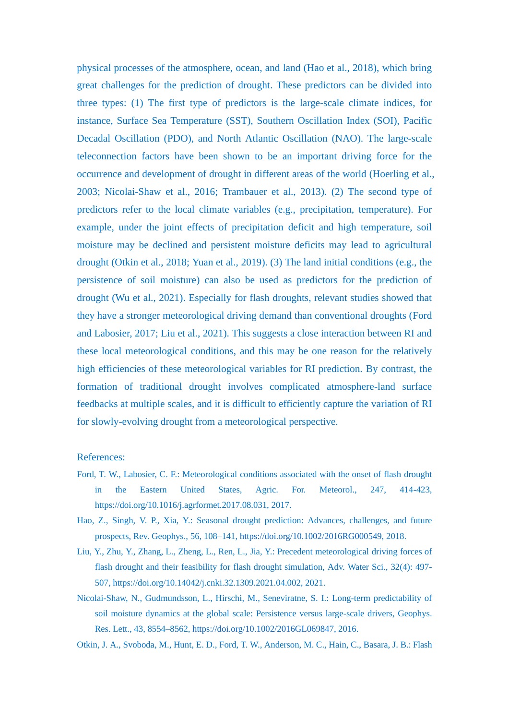physical processes of the atmosphere, ocean, and land (Hao et al., 2018), which bring great challenges for the prediction of drought. These predictors can be divided into three types: (1) The first type of predictors is the large-scale climate indices, for instance, Surface Sea Temperature (SST), Southern Oscillation Index (SOI), Pacific Decadal Oscillation (PDO), and North Atlantic Oscillation (NAO). The large-scale teleconnection factors have been shown to be an important driving force for the occurrence and development of drought in different areas of the world (Hoerling et al., 2003; Nicolai-Shaw et al., 2016; Trambauer et al., 2013). (2) The second type of predictors refer to the local climate variables (e.g., precipitation, temperature). For example, under the joint effects of precipitation deficit and high temperature, soil moisture may be declined and persistent moisture deficits may lead to agricultural drought (Otkin et al., 2018; Yuan et al., 2019). (3) The land initial conditions (e.g., the persistence of soil moisture) can also be used as predictors for the prediction of drought (Wu et al., 2021). Especially for flash droughts, relevant studies showed that they have a stronger meteorological driving demand than conventional droughts (Ford and Labosier, 2017; Liu et al., 2021). This suggests a close interaction between RI and these local meteorological conditions, and this may be one reason for the relatively high efficiencies of these meteorological variables for RI prediction. By contrast, the formation of traditional drought involves complicated atmosphere-land surface feedbacks at multiple scales, and it is difficult to efficiently capture the variation of RI for slowly-evolving drought from a meteorological perspective.

### References:

- Ford, T. W., Labosier, C. F.: Meteorological conditions associated with the onset of flash drought in the Eastern United States, Agric. For. Meteorol., 247, 414-423, https://doi.org/10.1016/j.agrformet.2017.08.031, 2017.
- Hao, Z., Singh, V. P., Xia, Y.: Seasonal drought prediction: Advances, challenges, and future prospects, Rev. Geophys., 56, 108–141, [https://doi.org/10.1002/2016RG000549,](https://doi.org/10.1002/2016RG000549) 2018.
- Liu, Y., Zhu, Y., Zhang, L., Zheng, L., Ren, L., Jia, Y.: Precedent meteorological driving forces of flash drought and their feasibility for flash drought simulation, Adv. Water Sci., 32(4): 497- 507, https://doi.org/10.14042/j.cnki.32.1309.2021.04.002, 2021.
- Nicolai-Shaw, N., Gudmundsson, L., Hirschi, M., Seneviratne, S. I.: Long-term predictability of soil moisture dynamics at the global scale: Persistence versus large-scale drivers, Geophys. Res. Lett., 43, 8554–8562, [https://doi.org/10.1002/2016GL069847,](https://doi.org/10.1002/2016GL069847) 2016.
- Otkin, J. A., Svoboda, M., Hunt, E. D., Ford, T. W., Anderson, M. C., Hain, C., Basara, J. B.: Flash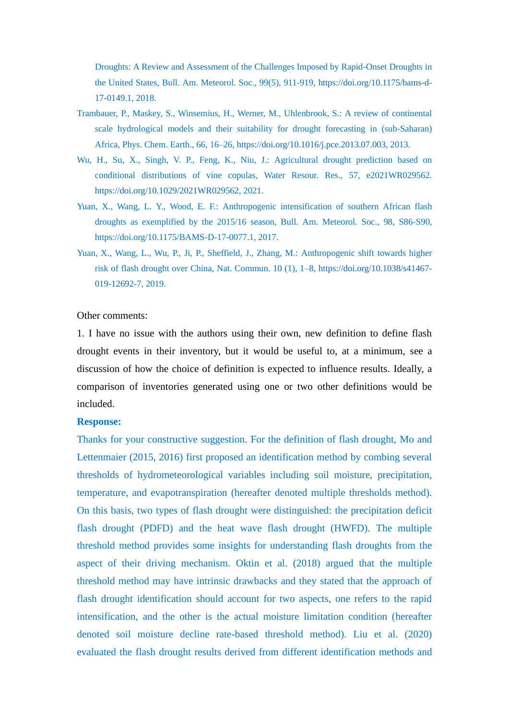Droughts: A Review and Assessment of the Challenges Imposed by Rapid-Onset Droughts in the United States, Bull. Am. Meteorol. Soc., 99(5), 911-919, [https://doi.org/10.1175/bams-d-](https://doi.org/10.1175/bams-d-17-0149.1)[17-0149.1,](https://doi.org/10.1175/bams-d-17-0149.1) 2018.

- Trambauer, P., Maskey, S., Winsemius, H., Werner, M., Uhlenbrook, S.: A review of continental scale hydrological models and their suitability for drought forecasting in (sub-Saharan) Africa, Phys. Chem. Earth., 66, 16–26, [https://doi.org/10.1016/j.pce.2013.07.003,](https://doi.org/10.1016/j.pce.2013.07.003) 2013.
- Wu, H., Su, X., Singh, V. P., Feng, K., Niu, J.: Agricultural drought prediction based on conditional distributions of vine copulas, Water Resour. Res., 57, e2021WR029562. [https://doi.org/10.1029/2021WR029562,](https://doi.org/10.1029/2021WR029562) 2021.
- Yuan, X., Wang, L. Y., Wood, E. F.: Anthropogenic intensification of southern African flash droughts as exemplified by the 2015/16 season, Bull. Am. Meteorol. Soc., 98, S86-S90, https://doi.org/10.1175/BAMS-D-17-0077.1, 2017.
- Yuan, X., Wang, L., Wu, P., Ji, P., Sheffield, J., Zhang, M.: Anthropogenic shift towards higher risk of flash drought over China, Nat. Commun. 10 (1), 1–8, [https://doi.org/10.1038/s41467-](https://doi.org/10.1038/s41467-019-12692-7) [019-12692-7,](https://doi.org/10.1038/s41467-019-12692-7) 2019.

# Other comments:

1. I have no issue with the authors using their own, new definition to define flash drought events in their inventory, but it would be useful to, at a minimum, see a discussion of how the choice of definition is expected to influence results. Ideally, a comparison of inventories generated using one or two other definitions would be included.

### **Response:**

Thanks for your constructive suggestion. For the definition of flash drought, Mo and Lettenmaier (2015, 2016) first proposed an identification method by combing several thresholds of hydrometeorological variables including soil moisture, precipitation, temperature, and evapotranspiration (hereafter denoted multiple thresholds method). On this basis, two types of flash drought were distinguished: the precipitation deficit flash drought (PDFD) and the heat wave flash drought (HWFD). The multiple threshold method provides some insights for understanding flash droughts from the aspect of their driving mechanism. Oktin et al. (2018) argued that the multiple threshold method may have intrinsic drawbacks and they stated that the approach of flash drought identification should account for two aspects, one refers to the rapid intensification, and the other is the actual moisture limitation condition (hereafter denoted soil moisture decline rate-based threshold method). Liu et al. (2020) evaluated the flash drought results derived from different identification methods and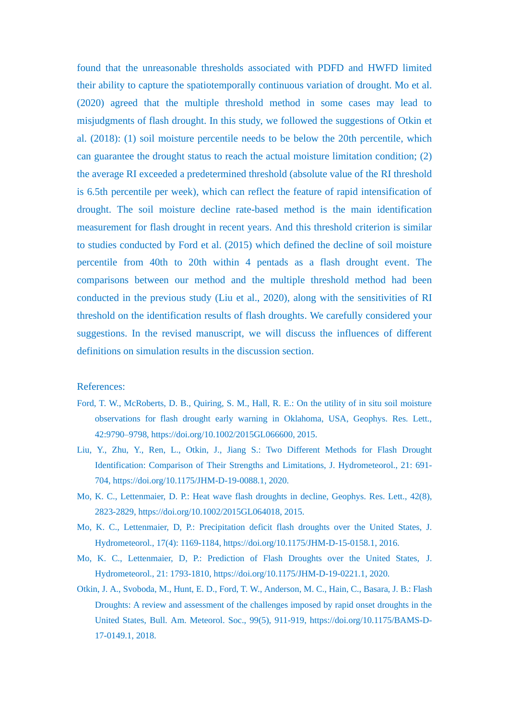found that the unreasonable thresholds associated with PDFD and HWFD limited their ability to capture the spatiotemporally continuous variation of drought. Mo et al. (2020) agreed that the multiple threshold method in some cases may lead to misjudgments of flash drought. In this study, we followed the suggestions of Otkin et al. (2018): (1) soil moisture percentile needs to be below the 20th percentile, which can guarantee the drought status to reach the actual moisture limitation condition; (2) the average RI exceeded a predetermined threshold (absolute value of the RI threshold is 6.5th percentile per week), which can reflect the feature of rapid intensification of drought. The soil moisture decline rate-based method is the main identification measurement for flash drought in recent years. And this threshold criterion is similar to studies conducted by Ford et al. (2015) which defined the decline of soil moisture percentile from 40th to 20th within 4 pentads as a flash drought event. The comparisons between our method and the multiple threshold method had been conducted in the previous study (Liu et al., 2020), along with the sensitivities of RI threshold on the identification results of flash droughts. We carefully considered your suggestions. In the revised manuscript, we will discuss the influences of different definitions on simulation results in the discussion section.

#### References:

- Ford, T. W., McRoberts, D. B., Quiring, S. M., Hall, R. E.: On the utility of in situ soil moisture observations for flash drought early warning in Oklahoma, USA, Geophys. Res. Lett., 42:9790–9798, https://doi.org/10.1002/2015GL066600, 2015.
- Liu, Y., Zhu, Y., Ren, L., Otkin, J., Jiang S.: Two Different Methods for Flash Drought Identification: Comparison of Their Strengths and Limitations, J. Hydrometeorol., 21: 691- 704, https://doi.org/10.1175/JHM-D-19-0088.1, 2020.
- Mo, K. C., Lettenmaier, D. P.: Heat wave flash droughts in decline, Geophys. Res. Lett., 42(8), 2823-2829, https://doi.org/10.1002/2015GL064018, 2015.
- Mo, K. C., Lettenmaier, D, P.: Precipitation deficit flash droughts over the United States, J. Hydrometeorol., 17(4): 1169-1184, https://doi.org/10.1175/JHM-D-15-0158.1, 2016.
- Mo, K. C., Lettenmaier, D, P.: Prediction of Flash Droughts over the United States, J. Hydrometeorol., 21: 1793-1810, https://doi.org/10.1175/JHM-D-19-0221.1, 2020.
- Otkin, J. A., Svoboda, M., Hunt, E. D., Ford, T. W., Anderson, M. C., Hain, C., Basara, J. B.: Flash Droughts: A review and assessment of the challenges imposed by rapid onset droughts in the United States, Bull. Am. Meteorol. Soc., 99(5), 911-919, https://doi.org/10.1175/BAMS-D-17-0149.1, 2018.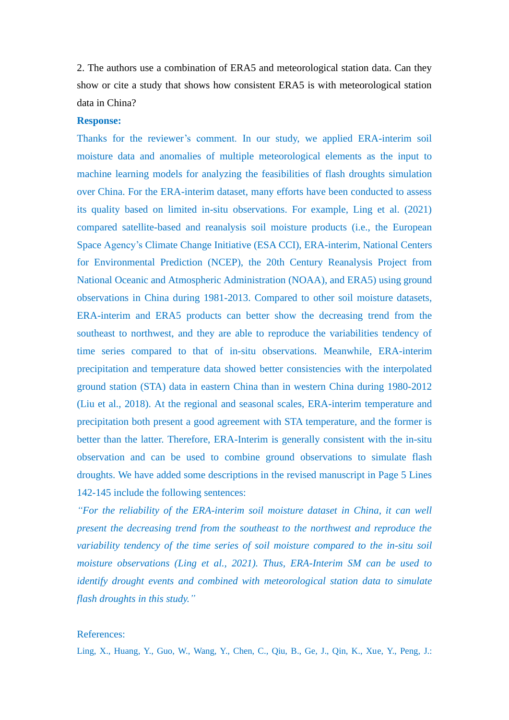2. The authors use a combination of ERA5 and meteorological station data. Can they show or cite a study that shows how consistent ERA5 is with meteorological station data in China?

## **Response:**

Thanks for the reviewer's comment. In our study, we applied ERA-interim soil moisture data and anomalies of multiple meteorological elements as the input to machine learning models for analyzing the feasibilities of flash droughts simulation over China. For the ERA-interim dataset, many efforts have been conducted to assess its quality based on limited in-situ observations. For example, Ling et al. (2021) compared satellite-based and reanalysis soil moisture products (i.e., the European Space Agency's Climate Change Initiative (ESA CCI), ERA-interim, National Centers for Environmental Prediction (NCEP), the 20th Century Reanalysis Project from National Oceanic and Atmospheric Administration (NOAA), and ERA5) using ground observations in China during 1981-2013. Compared to other soil moisture datasets, ERA-interim and ERA5 products can better show the decreasing trend from the southeast to northwest, and they are able to reproduce the variabilities tendency of time series compared to that of in-situ observations. Meanwhile, ERA-interim precipitation and temperature data showed better consistencies with the interpolated ground station (STA) data in eastern China than in western China during 1980-2012 (Liu et al., 2018). At the regional and seasonal scales, ERA-interim temperature and precipitation both present a good agreement with STA temperature, and the former is better than the latter. Therefore, ERA-Interim is generally consistent with the in-situ observation and can be used to combine ground observations to simulate flash droughts. We have added some descriptions in the revised manuscript in Page 5 Lines 142-145 include the following sentences:

*"For the reliability of the ERA-interim soil moisture dataset in China, it can well present the decreasing trend from the southeast to the northwest and reproduce the variability tendency of the time series of soil moisture compared to the in-situ soil moisture observations (Ling et al., 2021). Thus, ERA-Interim SM can be used to identify drought events and combined with meteorological station data to simulate flash droughts in this study."*

### References:

Ling, X., Huang, Y., Guo, W., Wang, Y., Chen, C., Qiu, B., Ge, J., Qin, K., Xue, Y., Peng, J.: